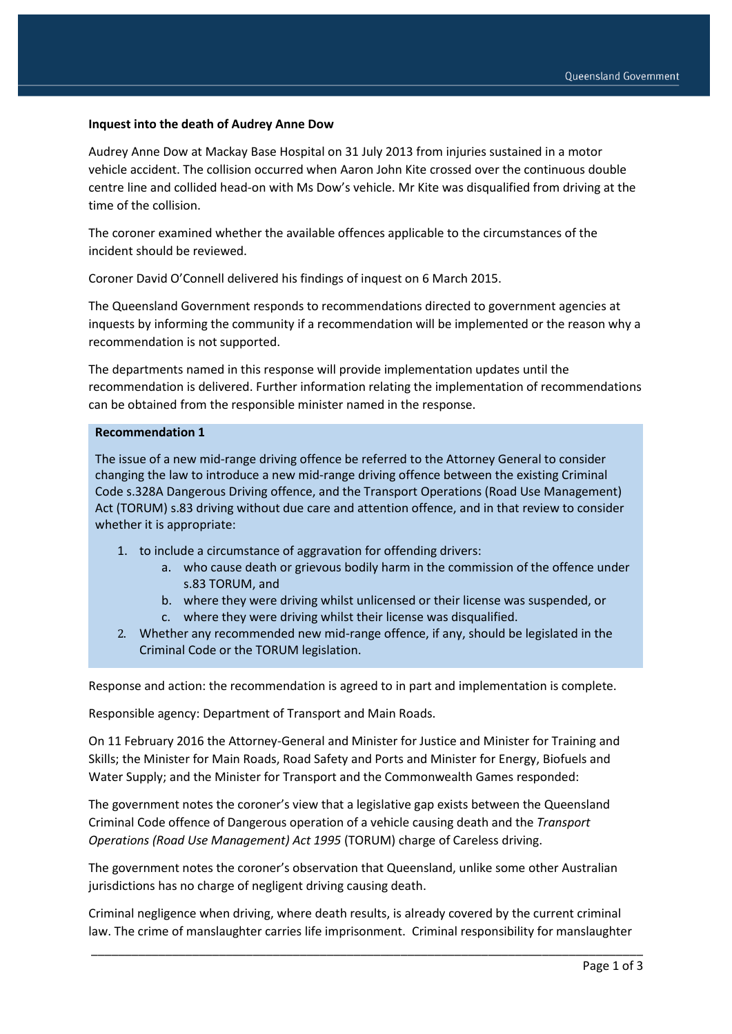#### **Inquest into the death of Audrey Anne Dow**

Audrey Anne Dow at Mackay Base Hospital on 31 July 2013 from injuries sustained in a motor vehicle accident. The collision occurred when Aaron John Kite crossed over the continuous double centre line and collided head-on with Ms Dow's vehicle. Mr Kite was disqualified from driving at the time of the collision.

The coroner examined whether the available offences applicable to the circumstances of the incident should be reviewed.

Coroner David O'Connell delivered his findings of inquest on 6 March 2015.

The Queensland Government responds to recommendations directed to government agencies at inquests by informing the community if a recommendation will be implemented or the reason why a recommendation is not supported.

The departments named in this response will provide implementation updates until the recommendation is delivered. Further information relating the implementation of recommendations can be obtained from the responsible minister named in the response.

#### **Recommendation 1**

The issue of a new mid-range driving offence be referred to the Attorney General to consider changing the law to introduce a new mid-range driving offence between the existing Criminal Code s.328A Dangerous Driving offence, and the Transport Operations (Road Use Management) Act (TORUM) s.83 driving without due care and attention offence, and in that review to consider whether it is appropriate:

- 1. to include a circumstance of aggravation for offending drivers:
	- a. who cause death or grievous bodily harm in the commission of the offence under s.83 TORUM, and
	- b. where they were driving whilst unlicensed or their license was suspended, or
	- c. where they were driving whilst their license was disqualified.
- 2. Whether any recommended new mid-range offence, if any, should be legislated in the Criminal Code or the TORUM legislation.

Response and action: the recommendation is agreed to in part and implementation is complete.

Responsible agency: Department of Transport and Main Roads.

On 11 February 2016 the Attorney-General and Minister for Justice and Minister for Training and Skills; the Minister for Main Roads, Road Safety and Ports and Minister for Energy, Biofuels and Water Supply; and the Minister for Transport and the Commonwealth Games responded:

The government notes the coroner's view that a legislative gap exists between the Queensland Criminal Code offence of Dangerous operation of a vehicle causing death and the *Transport Operations (Road Use Management) Act 1995* (TORUM) charge of Careless driving.

The government notes the coroner's observation that Queensland, unlike some other Australian jurisdictions has no charge of negligent driving causing death.

Criminal negligence when driving, where death results, is already covered by the current criminal law. The crime of manslaughter carries life imprisonment. Criminal responsibility for manslaughter

\_\_\_\_\_\_\_\_\_\_\_\_\_\_\_\_\_\_\_\_\_\_\_\_\_\_\_\_\_\_\_\_\_\_\_\_\_\_\_\_\_\_\_\_\_\_\_\_\_\_\_\_\_\_\_\_\_\_\_\_\_\_\_\_\_\_\_\_\_\_\_\_\_\_\_\_\_\_\_\_\_\_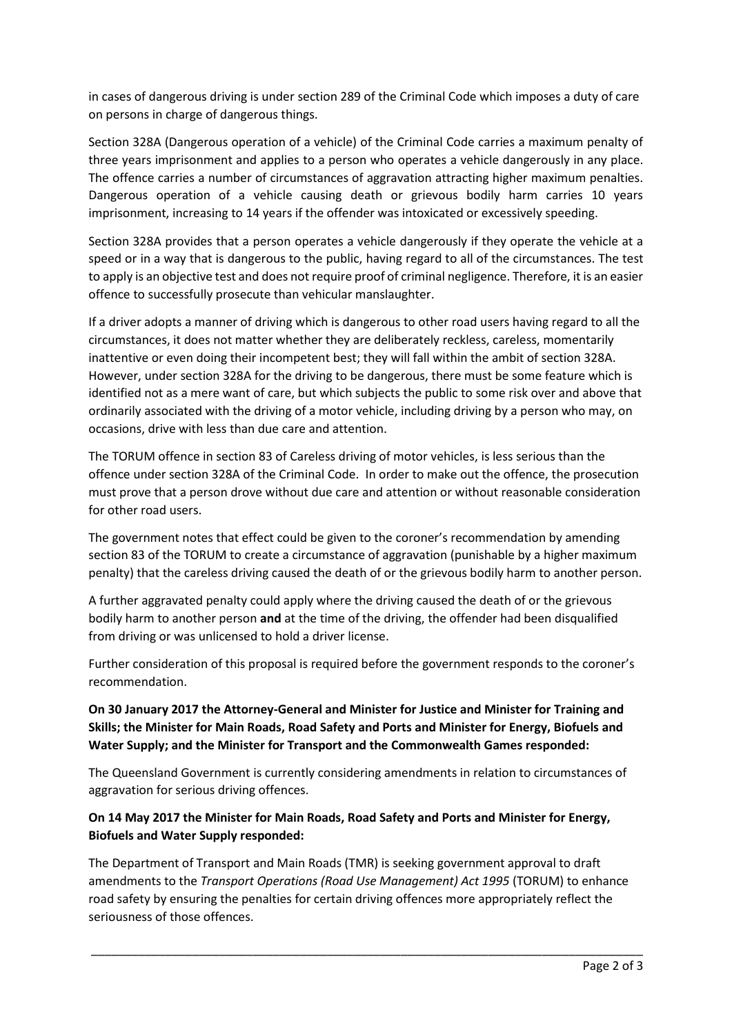in cases of dangerous driving is under section 289 of the Criminal Code which imposes a duty of care on persons in charge of dangerous things.

Section 328A (Dangerous operation of a vehicle) of the Criminal Code carries a maximum penalty of three years imprisonment and applies to a person who operates a vehicle dangerously in any place. The offence carries a number of circumstances of aggravation attracting higher maximum penalties. Dangerous operation of a vehicle causing death or grievous bodily harm carries 10 years imprisonment, increasing to 14 years if the offender was intoxicated or excessively speeding.

Section 328A provides that a person operates a vehicle dangerously if they operate the vehicle at a speed or in a way that is dangerous to the public, having regard to all of the circumstances. The test to apply is an objective test and does not require proof of criminal negligence. Therefore, it is an easier offence to successfully prosecute than vehicular manslaughter.

If a driver adopts a manner of driving which is dangerous to other road users having regard to all the circumstances, it does not matter whether they are deliberately reckless, careless, momentarily inattentive or even doing their incompetent best; they will fall within the ambit of section 328A. However, under section 328A for the driving to be dangerous, there must be some feature which is identified not as a mere want of care, but which subjects the public to some risk over and above that ordinarily associated with the driving of a motor vehicle, including driving by a person who may, on occasions, drive with less than due care and attention.

The TORUM offence in section 83 of Careless driving of motor vehicles, is less serious than the offence under section 328A of the Criminal Code. In order to make out the offence, the prosecution must prove that a person drove without due care and attention or without reasonable consideration for other road users.

The government notes that effect could be given to the coroner's recommendation by amending section 83 of the TORUM to create a circumstance of aggravation (punishable by a higher maximum penalty) that the careless driving caused the death of or the grievous bodily harm to another person.

A further aggravated penalty could apply where the driving caused the death of or the grievous bodily harm to another person **and** at the time of the driving, the offender had been disqualified from driving or was unlicensed to hold a driver license.

Further consideration of this proposal is required before the government responds to the coroner's recommendation.

# **On 30 January 2017 the Attorney-General and Minister for Justice and Minister for Training and Skills; the Minister for Main Roads, Road Safety and Ports and Minister for Energy, Biofuels and Water Supply; and the Minister for Transport and the Commonwealth Games responded:**

The Queensland Government is currently considering amendments in relation to circumstances of aggravation for serious driving offences.

# **On 14 May 2017 the Minister for Main Roads, Road Safety and Ports and Minister for Energy, Biofuels and Water Supply responded:**

The Department of Transport and Main Roads (TMR) is seeking government approval to draft amendments to the *Transport Operations (Road Use Management) Act 1995* (TORUM) to enhance road safety by ensuring the penalties for certain driving offences more appropriately reflect the seriousness of those offences.

\_\_\_\_\_\_\_\_\_\_\_\_\_\_\_\_\_\_\_\_\_\_\_\_\_\_\_\_\_\_\_\_\_\_\_\_\_\_\_\_\_\_\_\_\_\_\_\_\_\_\_\_\_\_\_\_\_\_\_\_\_\_\_\_\_\_\_\_\_\_\_\_\_\_\_\_\_\_\_\_\_\_